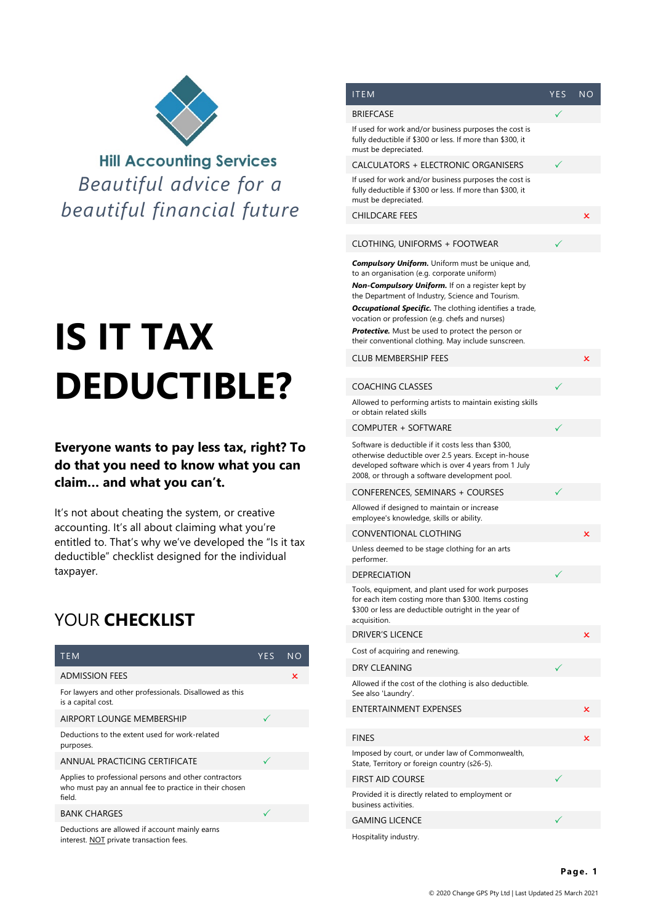

**Hill Accounting Services** *Beautiful advice for a beautiful financial future*

## **IS IT TAX DEDUCTIBLE?**

## **Everyone wants to pay less tax, right? To do that you need to know what you can claim… and what you can't.**

It's not about cheating the system, or creative accounting. It's all about claiming what you're entitled to. That's why we've developed the "Is it tax deductible" checklist designed for the individual taxpayer.

## YOUR **CHECKLIST**

| <b>TEM</b>                                                                                                                | <b>YES</b> | NO |
|---------------------------------------------------------------------------------------------------------------------------|------------|----|
| <b>ADMISSION FEES</b>                                                                                                     |            | x  |
| For lawyers and other professionals. Disallowed as this<br>is a capital cost.                                             |            |    |
| AIRPORT LOUNGE MEMBERSHIP                                                                                                 |            |    |
| Deductions to the extent used for work-related<br>purposes.                                                               |            |    |
| ANNUAL PRACTICING CERTIFICATE                                                                                             |            |    |
| Applies to professional persons and other contractors<br>who must pay an annual fee to practice in their chosen<br>field. |            |    |
| <b>BANK CHARGES</b>                                                                                                       |            |    |
| Deductions are allowed if assessed mainly earns                                                                           |            |    |

Deductions are allowed if account mainly earns interest. NOT private transaction fees.

| ITEM                                                                                                                                                                                                                                                                                                                                                                                          | YES | N <sub>O</sub> |
|-----------------------------------------------------------------------------------------------------------------------------------------------------------------------------------------------------------------------------------------------------------------------------------------------------------------------------------------------------------------------------------------------|-----|----------------|
| <b>BRIEFCASE</b>                                                                                                                                                                                                                                                                                                                                                                              |     |                |
| If used for work and/or business purposes the cost is<br>fully deductible if \$300 or less. If more than \$300, it<br>must be depreciated.                                                                                                                                                                                                                                                    |     |                |
| CALCULATORS + ELECTRONIC ORGANISERS                                                                                                                                                                                                                                                                                                                                                           |     |                |
| If used for work and/or business purposes the cost is<br>fully deductible if \$300 or less. If more than \$300, it<br>must be depreciated.                                                                                                                                                                                                                                                    |     |                |
| <b>CHILDCARE FEES</b>                                                                                                                                                                                                                                                                                                                                                                         |     | x              |
| CLOTHING, UNIFORMS + FOOTWEAR                                                                                                                                                                                                                                                                                                                                                                 |     |                |
| <b>Compulsory Uniform.</b> Uniform must be unique and,<br>to an organisation (e.g. corporate uniform)<br>Non-Compulsory Uniform. If on a register kept by<br>the Department of Industry, Science and Tourism.<br><b>Occupational Specific.</b> The clothing identifies a trade,<br>vocation or profession (e.g. chefs and nurses)<br><b>Protective.</b> Must be used to protect the person or |     |                |
| their conventional clothing. May include sunscreen.                                                                                                                                                                                                                                                                                                                                           |     |                |
| <b>CLUB MEMBERSHIP FEES</b>                                                                                                                                                                                                                                                                                                                                                                   |     | x              |
| COACHING CLASSES                                                                                                                                                                                                                                                                                                                                                                              |     |                |
| Allowed to performing artists to maintain existing skills<br>or obtain related skills                                                                                                                                                                                                                                                                                                         |     |                |
| COMPUTER + SOFTWARE                                                                                                                                                                                                                                                                                                                                                                           |     |                |
| Software is deductible if it costs less than \$300,<br>otherwise deductible over 2.5 years. Except in-house<br>developed software which is over 4 years from 1 July<br>2008, or through a software development pool.                                                                                                                                                                          |     |                |
| CONFERENCES, SEMINARS + COURSES                                                                                                                                                                                                                                                                                                                                                               |     |                |
| Allowed if designed to maintain or increase<br>employee's knowledge, skills or ability.                                                                                                                                                                                                                                                                                                       |     |                |
| CONVENTIONAL CLOTHING                                                                                                                                                                                                                                                                                                                                                                         |     | x              |
| Unless deemed to be stage clothing for an arts<br>performer.                                                                                                                                                                                                                                                                                                                                  |     |                |
| <b>DEPRECIATION</b>                                                                                                                                                                                                                                                                                                                                                                           |     |                |
| Tools, equipment, and plant used for work purposes<br>for each item costing more than \$300. Items costing<br>\$300 or less are deductible outright in the year of<br>acquisition.                                                                                                                                                                                                            |     |                |
| <b>DRIVER'S LICENCE</b>                                                                                                                                                                                                                                                                                                                                                                       |     | ×              |
| Cost of acquiring and renewing.                                                                                                                                                                                                                                                                                                                                                               |     |                |
| DRY CLEANING                                                                                                                                                                                                                                                                                                                                                                                  |     |                |
| Allowed if the cost of the clothing is also deductible.<br>See also 'Laundry'.                                                                                                                                                                                                                                                                                                                |     |                |
| ENTERTAINMENT EXPENSES                                                                                                                                                                                                                                                                                                                                                                        |     | ×              |
| FINES                                                                                                                                                                                                                                                                                                                                                                                         |     | ×              |
| Imposed by court, or under law of Commonwealth,<br>State, Territory or foreign country (s26-5).                                                                                                                                                                                                                                                                                               |     |                |
| FIRST AID COURSE                                                                                                                                                                                                                                                                                                                                                                              |     |                |
| Provided it is directly related to employment or<br>business activities.                                                                                                                                                                                                                                                                                                                      |     |                |
| <b>GAMING LICENCE</b>                                                                                                                                                                                                                                                                                                                                                                         |     |                |
| Hospitality industry.                                                                                                                                                                                                                                                                                                                                                                         |     |                |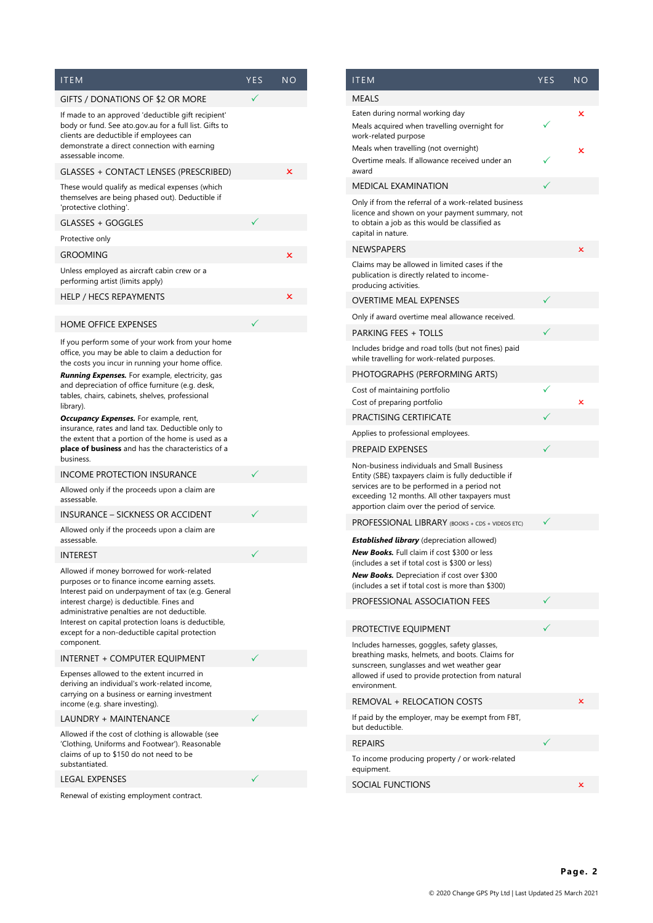| <b>ITEM</b>                                                                                                                                                                                                                                                                                                                                                                                                                                                                                       | YES | ΝO |
|---------------------------------------------------------------------------------------------------------------------------------------------------------------------------------------------------------------------------------------------------------------------------------------------------------------------------------------------------------------------------------------------------------------------------------------------------------------------------------------------------|-----|----|
| GIFTS / DONATIONS OF \$2 OR MORE                                                                                                                                                                                                                                                                                                                                                                                                                                                                  |     |    |
| If made to an approved 'deductible gift recipient'<br>body or fund. See ato.gov.au for a full list. Gifts to<br>clients are deductible if employees can<br>demonstrate a direct connection with earning<br>assessable income.                                                                                                                                                                                                                                                                     |     |    |
| GLASSES + CONTACT LENSES (PRESCRIBED)                                                                                                                                                                                                                                                                                                                                                                                                                                                             |     | ×  |
| These would qualify as medical expenses (which<br>themselves are being phased out). Deductible if<br>'protective clothing'.                                                                                                                                                                                                                                                                                                                                                                       |     |    |
| GLASSES + GOGGLES                                                                                                                                                                                                                                                                                                                                                                                                                                                                                 |     |    |
| Protective only                                                                                                                                                                                                                                                                                                                                                                                                                                                                                   |     |    |
| <b>GROOMING</b>                                                                                                                                                                                                                                                                                                                                                                                                                                                                                   |     | x  |
| Unless employed as aircraft cabin crew or a<br>performing artist (limits apply)                                                                                                                                                                                                                                                                                                                                                                                                                   |     |    |
| HELP / HECS REPAYMENTS                                                                                                                                                                                                                                                                                                                                                                                                                                                                            |     | ×  |
|                                                                                                                                                                                                                                                                                                                                                                                                                                                                                                   |     |    |
| <b>HOME OFFICE EXPENSES</b>                                                                                                                                                                                                                                                                                                                                                                                                                                                                       |     |    |
| If you perform some of your work from your home<br>office, you may be able to claim a deduction for<br>the costs you incur in running your home office.<br><b>Running Expenses.</b> For example, electricity, gas<br>and depreciation of office furniture (e.g. desk,<br>tables, chairs, cabinets, shelves, professional<br>library).<br><b>Occupancy Expenses.</b> For example, rent,<br>insurance, rates and land tax. Deductible only to<br>the extent that a portion of the home is used as a |     |    |
| <b>place of business</b> and has the characteristics of a<br>business.                                                                                                                                                                                                                                                                                                                                                                                                                            |     |    |
| INCOME PROTECTION INSURANCE                                                                                                                                                                                                                                                                                                                                                                                                                                                                       |     |    |
| Allowed only if the proceeds upon a claim are<br>assessable.                                                                                                                                                                                                                                                                                                                                                                                                                                      |     |    |
| <b>INSURANCE - SICKNESS OR ACCIDENT</b>                                                                                                                                                                                                                                                                                                                                                                                                                                                           |     |    |
| Allowed only if the proceeds upon a claim are<br>assessable.                                                                                                                                                                                                                                                                                                                                                                                                                                      |     |    |
| INTEREST                                                                                                                                                                                                                                                                                                                                                                                                                                                                                          |     |    |
| Allowed if money borrowed for work-related<br>purposes or to finance income earning assets.<br>Interest paid on underpayment of tax (e.g. General<br>interest charge) is deductible. Fines and<br>administrative penalties are not deductible.<br>Interest on capital protection loans is deductible,<br>except for a non-deductible capital protection<br>component.                                                                                                                             |     |    |
| INTERNET + COMPUTER EQUIPMENT                                                                                                                                                                                                                                                                                                                                                                                                                                                                     |     |    |
| Expenses allowed to the extent incurred in<br>deriving an individual's work-related income,<br>carrying on a business or earning investment<br>income (e.g. share investing).                                                                                                                                                                                                                                                                                                                     |     |    |
| LAUNDRY + MAINTENANCE                                                                                                                                                                                                                                                                                                                                                                                                                                                                             |     |    |
| Allowed if the cost of clothing is allowable (see<br>'Clothing, Uniforms and Footwear'). Reasonable<br>claims of up to \$150 do not need to be<br>substantiated.                                                                                                                                                                                                                                                                                                                                  |     |    |
| <b>LEGAL EXPENSES</b>                                                                                                                                                                                                                                                                                                                                                                                                                                                                             |     |    |
| Renewal of existing employment contract.                                                                                                                                                                                                                                                                                                                                                                                                                                                          |     |    |

| ITEM                                                                                                                                                                                                                                                          | <b>YES</b> | ΝO     |
|---------------------------------------------------------------------------------------------------------------------------------------------------------------------------------------------------------------------------------------------------------------|------------|--------|
| MEALS                                                                                                                                                                                                                                                         |            |        |
| Eaten during normal working day<br>Meals acquired when travelling overnight for<br>work-related purpose<br>Meals when travelling (not overnight)                                                                                                              |            | ×<br>× |
| Overtime meals. If allowance received under an<br>award                                                                                                                                                                                                       |            |        |
| <b>MEDICAL EXAMINATION</b>                                                                                                                                                                                                                                    |            |        |
| Only if from the referral of a work-related business<br>licence and shown on your payment summary, not<br>to obtain a job as this would be classified as<br>capital in nature.                                                                                |            |        |
| <b>NEWSPAPERS</b>                                                                                                                                                                                                                                             |            | ×      |
| Claims may be allowed in limited cases if the<br>publication is directly related to income-<br>producing activities.                                                                                                                                          |            |        |
| <b>OVERTIME MEAL EXPENSES</b>                                                                                                                                                                                                                                 |            |        |
| Only if award overtime meal allowance received.                                                                                                                                                                                                               |            |        |
| PARKING FEES + TOLLS                                                                                                                                                                                                                                          |            |        |
| Includes bridge and road tolls (but not fines) paid<br>while travelling for work-related purposes.                                                                                                                                                            |            |        |
| PHOTOGRAPHS (PERFORMING ARTS)                                                                                                                                                                                                                                 |            |        |
| Cost of maintaining portfolio<br>Cost of preparing portfolio                                                                                                                                                                                                  |            | ×      |
| PRACTISING CERTIFICATE                                                                                                                                                                                                                                        |            |        |
| Applies to professional employees.                                                                                                                                                                                                                            |            |        |
| <b>PREPAID EXPENSES</b>                                                                                                                                                                                                                                       |            |        |
| Non-business individuals and Small Business<br>Entity (SBE) taxpayers claim is fully deductible if<br>services are to be performed in a period not<br>exceeding 12 months. All other taxpayers must<br>apportion claim over the period of service.            |            |        |
| PROFESSIONAL LIBRARY (BOOKS + CDS + VIDEOS ETC)                                                                                                                                                                                                               |            |        |
| <b>Established library</b> (depreciation allowed)<br>New Books. Full claim if cost \$300 or less<br>(includes a set if total cost is \$300 or less)<br><b>New Books.</b> Depreciation if cost over \$300<br>(includes a set if total cost is more than \$300) |            |        |
| PROFESSIONAL ASSOCIATION FEES                                                                                                                                                                                                                                 |            |        |
|                                                                                                                                                                                                                                                               |            |        |
| PROTECTIVE EQUIPMENT                                                                                                                                                                                                                                          |            |        |
| Includes harnesses, goggles, safety glasses,<br>breathing masks, helmets, and boots. Claims for<br>sunscreen, sunglasses and wet weather gear<br>allowed if used to provide protection from natural<br>environment.                                           |            |        |
| REMOVAL + RELOCATION COSTS                                                                                                                                                                                                                                    |            | ×      |
| If paid by the employer, may be exempt from FBT,<br>but deductible.                                                                                                                                                                                           |            |        |
| <b>REPAIRS</b>                                                                                                                                                                                                                                                |            |        |
| To income producing property / or work-related<br>equipment.                                                                                                                                                                                                  |            |        |
| SOCIAL FUNCTIONS                                                                                                                                                                                                                                              |            | ×      |